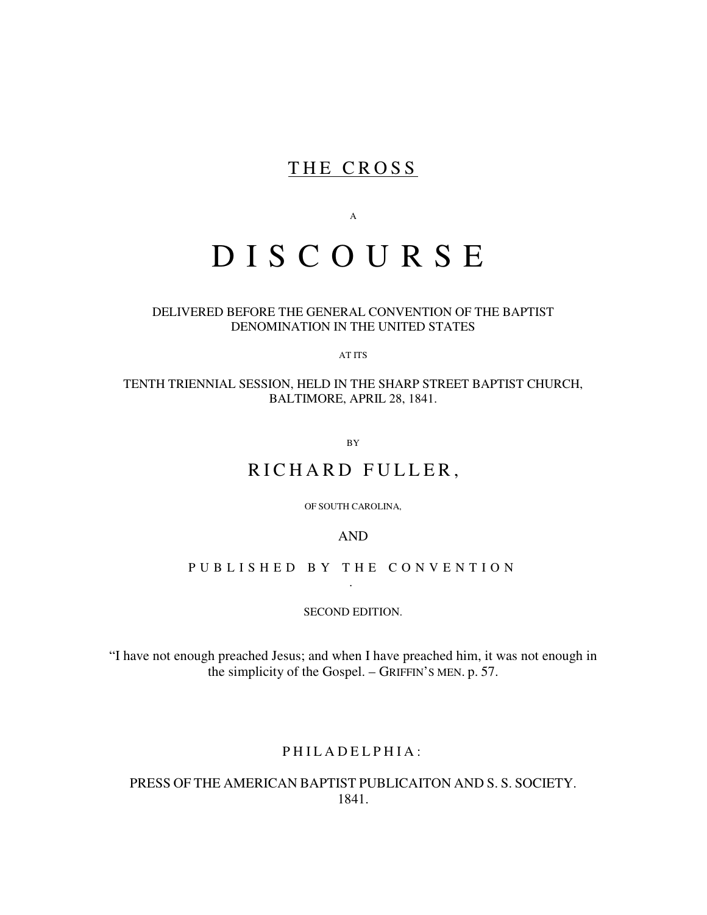# THE CROSS

A

# D I S C O U R S E

#### DELIVERED BEFORE THE GENERAL CONVENTION OF THE BAPTIST DENOMINATION IN THE UNITED STATES

AT ITS

## TENTH TRIENNIAL SESSION, HELD IN THE SHARP STREET BAPTIST CHURCH, BALTIMORE, APRIL 28, 1841.

BY

# RICHARD FULLER,

OF SOUTH CAROLINA,

AND

P U B L I S H E D B Y T H E C O N V E N T I O N .

SECOND EDITION.

"I have not enough preached Jesus; and when I have preached him, it was not enough in the simplicity of the Gospel. – GRIFFIN'S MEN. p. 57.

## PHILADELPHIA:

PRESS OF THE AMERICAN BAPTIST PUBLICAITON AND S. S. SOCIETY. 1841.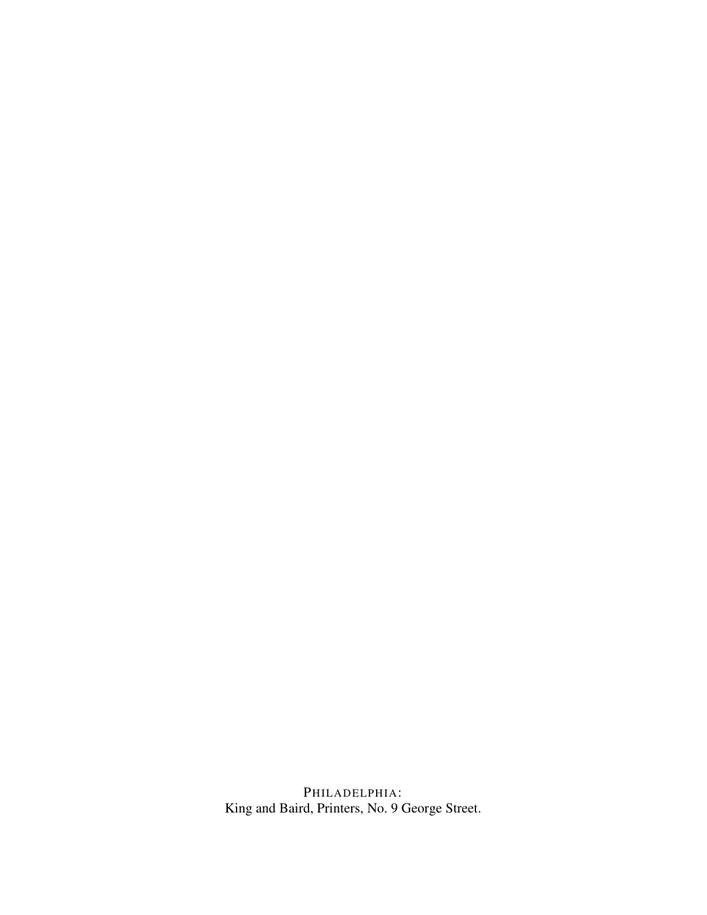PHILADELPHIA: King and Baird, Printers, No. 9 George Street.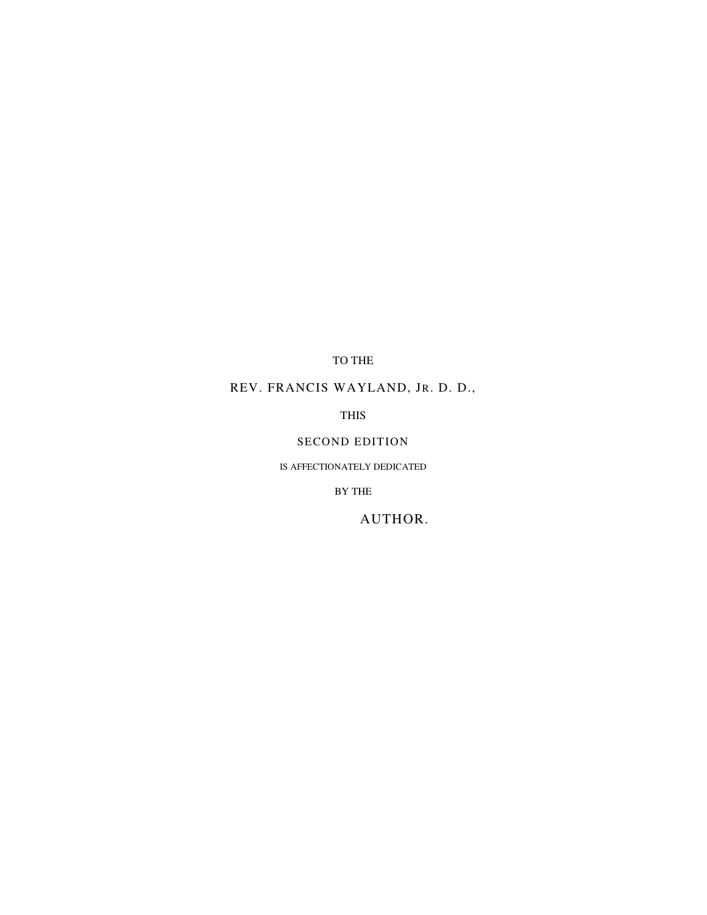#### TO THE

## REV. FRANCIS WAYLAND, JR. D. D.,

#### THIS

## SECOND EDITION

#### IS AFFECTIONATELY DEDICATED

#### BY THE

# AUTHOR.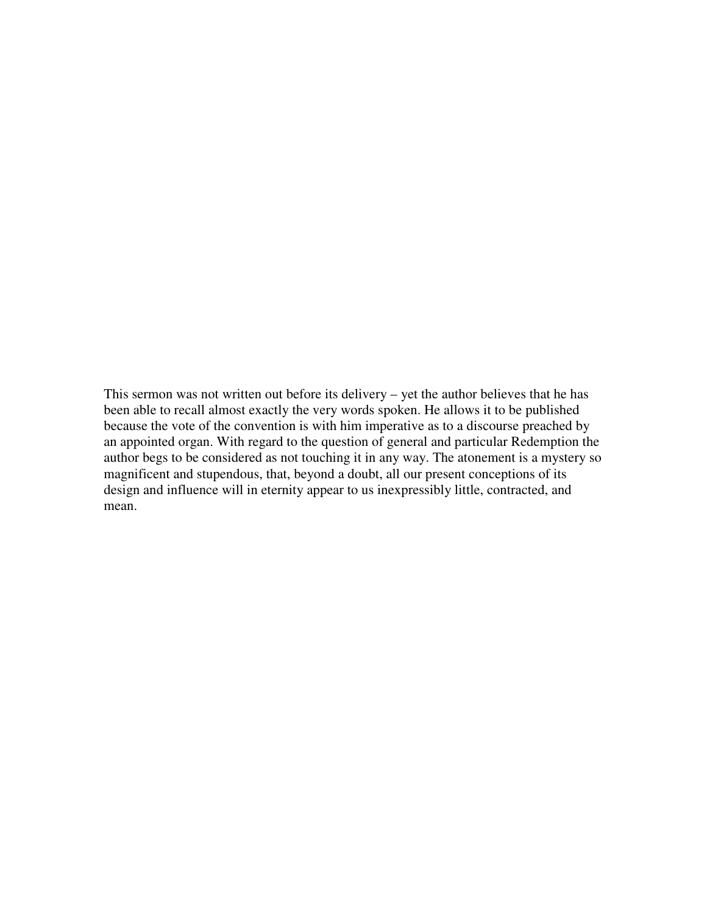This sermon was not written out before its delivery – yet the author believes that he has been able to recall almost exactly the very words spoken. He allows it to be published because the vote of the convention is with him imperative as to a discourse preached by an appointed organ. With regard to the question of general and particular Redemption the author begs to be considered as not touching it in any way. The atonement is a mystery so magnificent and stupendous, that, beyond a doubt, all our present conceptions of its design and influence will in eternity appear to us inexpressibly little, contracted, and mean.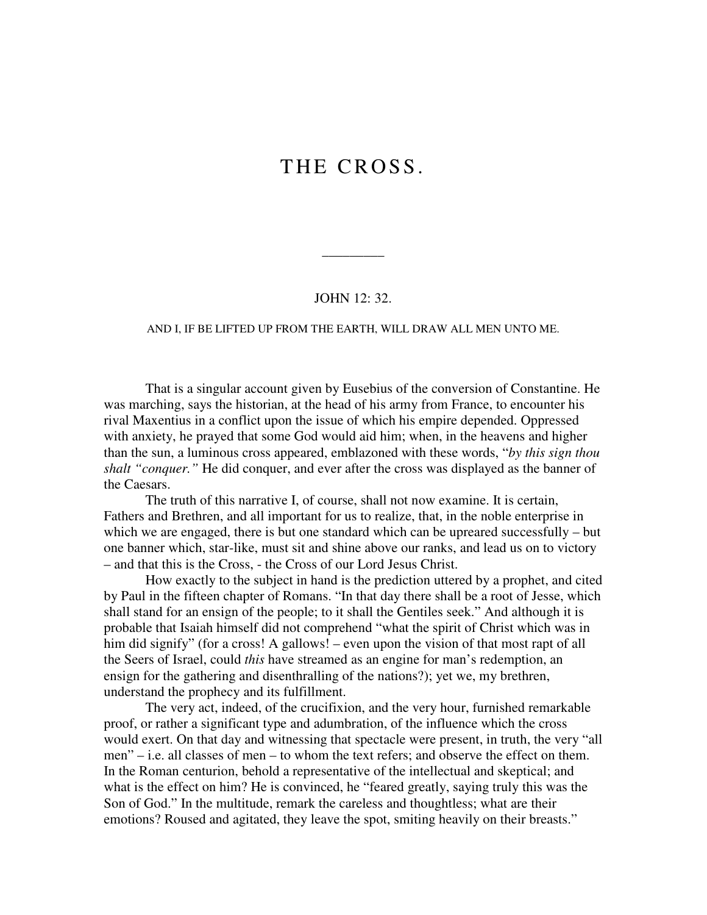# THE CROSS.

#### JOHN 12: 32.

\_\_\_\_\_\_\_\_\_

#### AND I, IF BE LIFTED UP FROM THE EARTH, WILL DRAW ALL MEN UNTO ME.

That is a singular account given by Eusebius of the conversion of Constantine. He was marching, says the historian, at the head of his army from France, to encounter his rival Maxentius in a conflict upon the issue of which his empire depended. Oppressed with anxiety, he prayed that some God would aid him; when, in the heavens and higher than the sun, a luminous cross appeared, emblazoned with these words, "*by this sign thou shalt "conquer."* He did conquer, and ever after the cross was displayed as the banner of the Caesars.

The truth of this narrative I, of course, shall not now examine. It is certain, Fathers and Brethren, and all important for us to realize, that, in the noble enterprise in which we are engaged, there is but one standard which can be upreared successfully – but one banner which, star-like, must sit and shine above our ranks, and lead us on to victory – and that this is the Cross, - the Cross of our Lord Jesus Christ.

How exactly to the subject in hand is the prediction uttered by a prophet, and cited by Paul in the fifteen chapter of Romans. "In that day there shall be a root of Jesse, which shall stand for an ensign of the people; to it shall the Gentiles seek." And although it is probable that Isaiah himself did not comprehend "what the spirit of Christ which was in him did signify" (for a cross! A gallows! – even upon the vision of that most rapt of all the Seers of Israel, could *this* have streamed as an engine for man's redemption, an ensign for the gathering and disenthralling of the nations?); yet we, my brethren, understand the prophecy and its fulfillment.

The very act, indeed, of the crucifixion, and the very hour, furnished remarkable proof, or rather a significant type and adumbration, of the influence which the cross would exert. On that day and witnessing that spectacle were present, in truth, the very "all men" – i.e. all classes of men – to whom the text refers; and observe the effect on them. In the Roman centurion, behold a representative of the intellectual and skeptical; and what is the effect on him? He is convinced, he "feared greatly, saying truly this was the Son of God." In the multitude, remark the careless and thoughtless; what are their emotions? Roused and agitated, they leave the spot, smiting heavily on their breasts."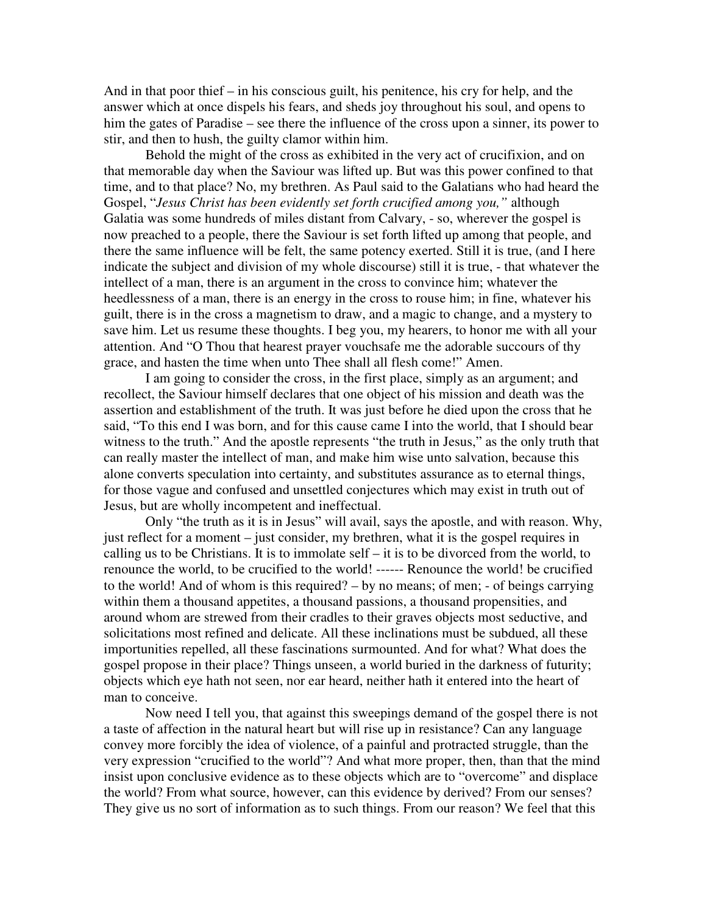And in that poor thief – in his conscious guilt, his penitence, his cry for help, and the answer which at once dispels his fears, and sheds joy throughout his soul, and opens to him the gates of Paradise – see there the influence of the cross upon a sinner, its power to stir, and then to hush, the guilty clamor within him.

Behold the might of the cross as exhibited in the very act of crucifixion, and on that memorable day when the Saviour was lifted up. But was this power confined to that time, and to that place? No, my brethren. As Paul said to the Galatians who had heard the Gospel, "*Jesus Christ has been evidently set forth crucified among you,"* although Galatia was some hundreds of miles distant from Calvary, - so, wherever the gospel is now preached to a people, there the Saviour is set forth lifted up among that people, and there the same influence will be felt, the same potency exerted. Still it is true, (and I here indicate the subject and division of my whole discourse) still it is true, - that whatever the intellect of a man, there is an argument in the cross to convince him; whatever the heedlessness of a man, there is an energy in the cross to rouse him; in fine, whatever his guilt, there is in the cross a magnetism to draw, and a magic to change, and a mystery to save him. Let us resume these thoughts. I beg you, my hearers, to honor me with all your attention. And "O Thou that hearest prayer vouchsafe me the adorable succours of thy grace, and hasten the time when unto Thee shall all flesh come!" Amen.

I am going to consider the cross, in the first place, simply as an argument; and recollect, the Saviour himself declares that one object of his mission and death was the assertion and establishment of the truth. It was just before he died upon the cross that he said, "To this end I was born, and for this cause came I into the world, that I should bear witness to the truth." And the apostle represents "the truth in Jesus," as the only truth that can really master the intellect of man, and make him wise unto salvation, because this alone converts speculation into certainty, and substitutes assurance as to eternal things, for those vague and confused and unsettled conjectures which may exist in truth out of Jesus, but are wholly incompetent and ineffectual.

Only "the truth as it is in Jesus" will avail, says the apostle, and with reason. Why, just reflect for a moment – just consider, my brethren, what it is the gospel requires in calling us to be Christians. It is to immolate self – it is to be divorced from the world, to renounce the world, to be crucified to the world! ------ Renounce the world! be crucified to the world! And of whom is this required? – by no means; of men; - of beings carrying within them a thousand appetites, a thousand passions, a thousand propensities, and around whom are strewed from their cradles to their graves objects most seductive, and solicitations most refined and delicate. All these inclinations must be subdued, all these importunities repelled, all these fascinations surmounted. And for what? What does the gospel propose in their place? Things unseen, a world buried in the darkness of futurity; objects which eye hath not seen, nor ear heard, neither hath it entered into the heart of man to conceive.

Now need I tell you, that against this sweepings demand of the gospel there is not a taste of affection in the natural heart but will rise up in resistance? Can any language convey more forcibly the idea of violence, of a painful and protracted struggle, than the very expression "crucified to the world"? And what more proper, then, than that the mind insist upon conclusive evidence as to these objects which are to "overcome" and displace the world? From what source, however, can this evidence by derived? From our senses? They give us no sort of information as to such things. From our reason? We feel that this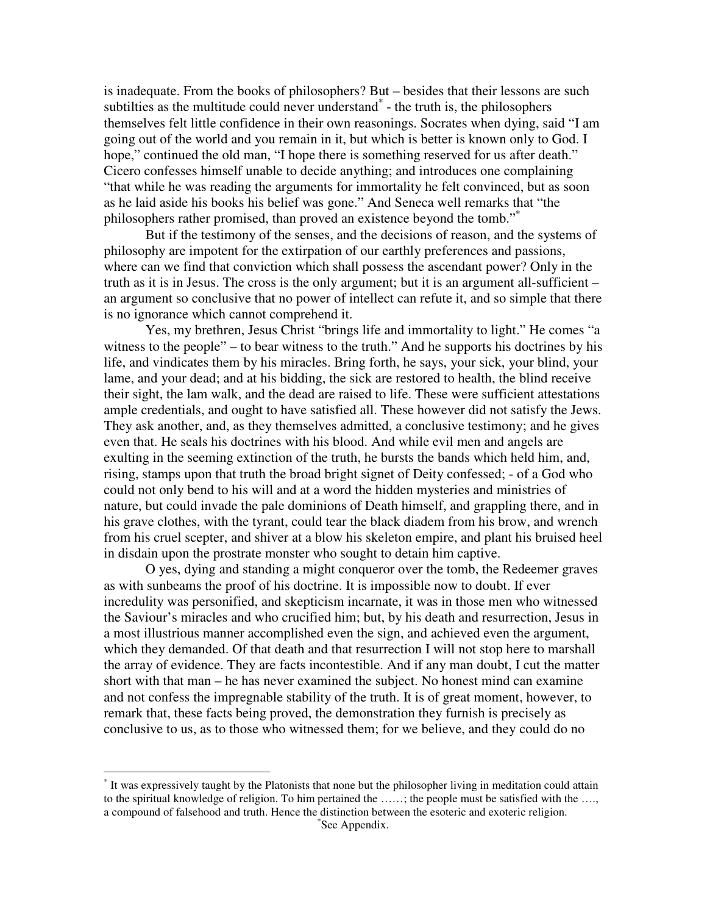is inadequate. From the books of philosophers? But – besides that their lessons are such subtilities as the multitude could never understand<sup>\*</sup> - the truth is, the philosophers themselves felt little confidence in their own reasonings. Socrates when dying, said "I am going out of the world and you remain in it, but which is better is known only to God. I hope," continued the old man, "I hope there is something reserved for us after death." Cicero confesses himself unable to decide anything; and introduces one complaining "that while he was reading the arguments for immortality he felt convinced, but as soon as he laid aside his books his belief was gone." And Seneca well remarks that "the philosophers rather promised, than proved an existence beyond the tomb."<sup>\*</sup>

But if the testimony of the senses, and the decisions of reason, and the systems of philosophy are impotent for the extirpation of our earthly preferences and passions, where can we find that conviction which shall possess the ascendant power? Only in the truth as it is in Jesus. The cross is the only argument; but it is an argument all-sufficient – an argument so conclusive that no power of intellect can refute it, and so simple that there is no ignorance which cannot comprehend it.

Yes, my brethren, Jesus Christ "brings life and immortality to light." He comes "a witness to the people" – to bear witness to the truth." And he supports his doctrines by his life, and vindicates them by his miracles. Bring forth, he says, your sick, your blind, your lame, and your dead; and at his bidding, the sick are restored to health, the blind receive their sight, the lam walk, and the dead are raised to life. These were sufficient attestations ample credentials, and ought to have satisfied all. These however did not satisfy the Jews. They ask another, and, as they themselves admitted, a conclusive testimony; and he gives even that. He seals his doctrines with his blood. And while evil men and angels are exulting in the seeming extinction of the truth, he bursts the bands which held him, and, rising, stamps upon that truth the broad bright signet of Deity confessed; - of a God who could not only bend to his will and at a word the hidden mysteries and ministries of nature, but could invade the pale dominions of Death himself, and grappling there, and in his grave clothes, with the tyrant, could tear the black diadem from his brow, and wrench from his cruel scepter, and shiver at a blow his skeleton empire, and plant his bruised heel in disdain upon the prostrate monster who sought to detain him captive.

O yes, dying and standing a might conqueror over the tomb, the Redeemer graves as with sunbeams the proof of his doctrine. It is impossible now to doubt. If ever incredulity was personified, and skepticism incarnate, it was in those men who witnessed the Saviour's miracles and who crucified him; but, by his death and resurrection, Jesus in a most illustrious manner accomplished even the sign, and achieved even the argument, which they demanded. Of that death and that resurrection I will not stop here to marshall the array of evidence. They are facts incontestible. And if any man doubt, I cut the matter short with that man – he has never examined the subject. No honest mind can examine and not confess the impregnable stability of the truth. It is of great moment, however, to remark that, these facts being proved, the demonstration they furnish is precisely as conclusive to us, as to those who witnessed them; for we believe, and they could do no

<sup>\*</sup> It was expressively taught by the Platonists that none but the philosopher living in meditation could attain to the spiritual knowledge of religion. To him pertained the ……; the people must be satisfied with the …., a compound of falsehood and truth. Hence the distinction between the esoteric and exoteric religion.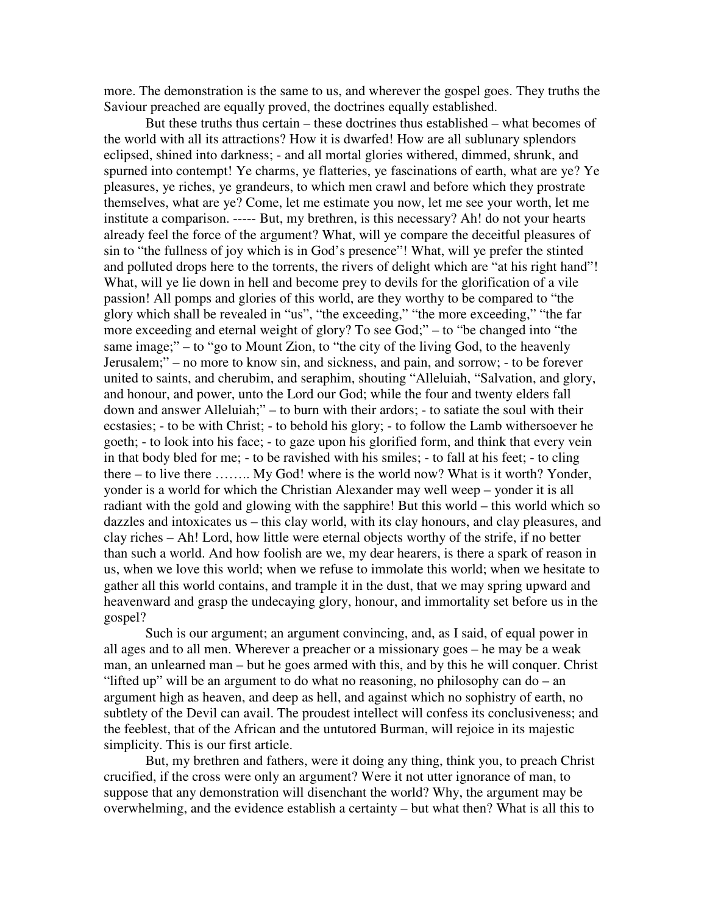more. The demonstration is the same to us, and wherever the gospel goes. They truths the Saviour preached are equally proved, the doctrines equally established.

But these truths thus certain – these doctrines thus established – what becomes of the world with all its attractions? How it is dwarfed! How are all sublunary splendors eclipsed, shined into darkness; - and all mortal glories withered, dimmed, shrunk, and spurned into contempt! Ye charms, ye flatteries, ye fascinations of earth, what are ye? Ye pleasures, ye riches, ye grandeurs, to which men crawl and before which they prostrate themselves, what are ye? Come, let me estimate you now, let me see your worth, let me institute a comparison. ----- But, my brethren, is this necessary? Ah! do not your hearts already feel the force of the argument? What, will ye compare the deceitful pleasures of sin to "the fullness of joy which is in God's presence"! What, will ye prefer the stinted and polluted drops here to the torrents, the rivers of delight which are "at his right hand"! What, will ye lie down in hell and become prey to devils for the glorification of a vile passion! All pomps and glories of this world, are they worthy to be compared to "the glory which shall be revealed in "us", "the exceeding," "the more exceeding," "the far more exceeding and eternal weight of glory? To see God;" – to "be changed into "the same image;" – to "go to Mount Zion, to "the city of the living God, to the heavenly Jerusalem;" – no more to know sin, and sickness, and pain, and sorrow; - to be forever united to saints, and cherubim, and seraphim, shouting "Alleluiah, "Salvation, and glory, and honour, and power, unto the Lord our God; while the four and twenty elders fall down and answer Alleluiah;" – to burn with their ardors; - to satiate the soul with their ecstasies; - to be with Christ; - to behold his glory; - to follow the Lamb withersoever he goeth; - to look into his face; - to gaze upon his glorified form, and think that every vein in that body bled for me; - to be ravished with his smiles; - to fall at his feet; - to cling there – to live there …….. My God! where is the world now? What is it worth? Yonder, yonder is a world for which the Christian Alexander may well weep – yonder it is all radiant with the gold and glowing with the sapphire! But this world – this world which so dazzles and intoxicates us – this clay world, with its clay honours, and clay pleasures, and clay riches – Ah! Lord, how little were eternal objects worthy of the strife, if no better than such a world. And how foolish are we, my dear hearers, is there a spark of reason in us, when we love this world; when we refuse to immolate this world; when we hesitate to gather all this world contains, and trample it in the dust, that we may spring upward and heavenward and grasp the undecaying glory, honour, and immortality set before us in the gospel?

Such is our argument; an argument convincing, and, as I said, of equal power in all ages and to all men. Wherever a preacher or a missionary goes – he may be a weak man, an unlearned man – but he goes armed with this, and by this he will conquer. Christ "lifted up" will be an argument to do what no reasoning, no philosophy can do – an argument high as heaven, and deep as hell, and against which no sophistry of earth, no subtlety of the Devil can avail. The proudest intellect will confess its conclusiveness; and the feeblest, that of the African and the untutored Burman, will rejoice in its majestic simplicity. This is our first article.

But, my brethren and fathers, were it doing any thing, think you, to preach Christ crucified, if the cross were only an argument? Were it not utter ignorance of man, to suppose that any demonstration will disenchant the world? Why, the argument may be overwhelming, and the evidence establish a certainty – but what then? What is all this to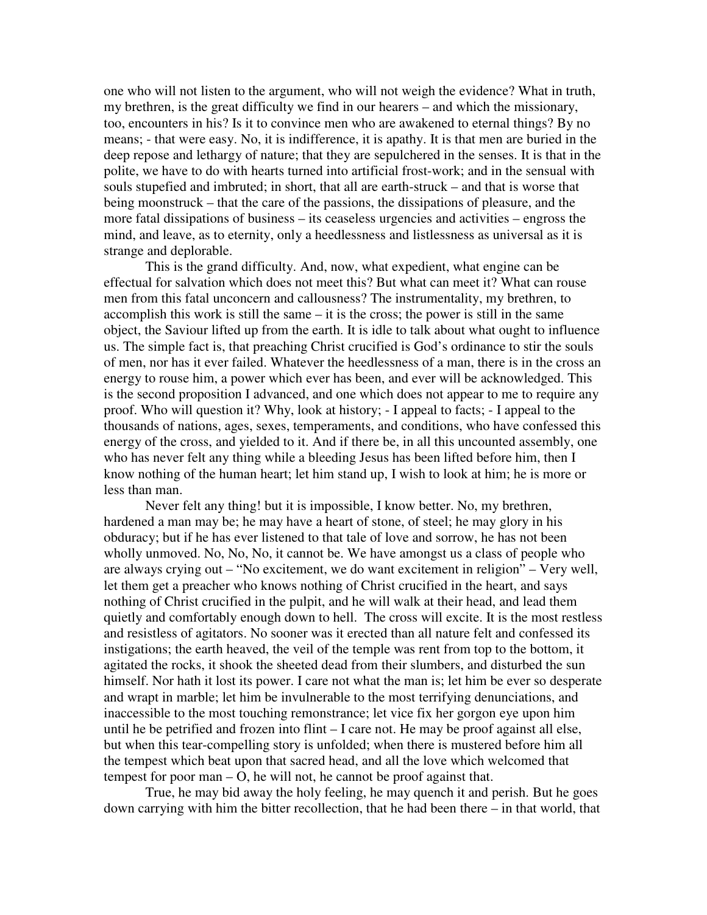one who will not listen to the argument, who will not weigh the evidence? What in truth, my brethren, is the great difficulty we find in our hearers – and which the missionary, too, encounters in his? Is it to convince men who are awakened to eternal things? By no means; - that were easy. No, it is indifference, it is apathy. It is that men are buried in the deep repose and lethargy of nature; that they are sepulchered in the senses. It is that in the polite, we have to do with hearts turned into artificial frost-work; and in the sensual with souls stupefied and imbruted; in short, that all are earth-struck – and that is worse that being moonstruck – that the care of the passions, the dissipations of pleasure, and the more fatal dissipations of business – its ceaseless urgencies and activities – engross the mind, and leave, as to eternity, only a heedlessness and listlessness as universal as it is strange and deplorable.

This is the grand difficulty. And, now, what expedient, what engine can be effectual for salvation which does not meet this? But what can meet it? What can rouse men from this fatal unconcern and callousness? The instrumentality, my brethren, to accomplish this work is still the same  $-$  it is the cross; the power is still in the same object, the Saviour lifted up from the earth. It is idle to talk about what ought to influence us. The simple fact is, that preaching Christ crucified is God's ordinance to stir the souls of men, nor has it ever failed. Whatever the heedlessness of a man, there is in the cross an energy to rouse him, a power which ever has been, and ever will be acknowledged. This is the second proposition I advanced, and one which does not appear to me to require any proof. Who will question it? Why, look at history; - I appeal to facts; - I appeal to the thousands of nations, ages, sexes, temperaments, and conditions, who have confessed this energy of the cross, and yielded to it. And if there be, in all this uncounted assembly, one who has never felt any thing while a bleeding Jesus has been lifted before him, then I know nothing of the human heart; let him stand up, I wish to look at him; he is more or less than man.

Never felt any thing! but it is impossible, I know better. No, my brethren, hardened a man may be; he may have a heart of stone, of steel; he may glory in his obduracy; but if he has ever listened to that tale of love and sorrow, he has not been wholly unmoved. No, No, No, it cannot be. We have amongst us a class of people who are always crying out – "No excitement, we do want excitement in religion" – Very well, let them get a preacher who knows nothing of Christ crucified in the heart, and says nothing of Christ crucified in the pulpit, and he will walk at their head, and lead them quietly and comfortably enough down to hell. The cross will excite. It is the most restless and resistless of agitators. No sooner was it erected than all nature felt and confessed its instigations; the earth heaved, the veil of the temple was rent from top to the bottom, it agitated the rocks, it shook the sheeted dead from their slumbers, and disturbed the sun himself. Nor hath it lost its power. I care not what the man is; let him be ever so desperate and wrapt in marble; let him be invulnerable to the most terrifying denunciations, and inaccessible to the most touching remonstrance; let vice fix her gorgon eye upon him until he be petrified and frozen into flint – I care not. He may be proof against all else, but when this tear-compelling story is unfolded; when there is mustered before him all the tempest which beat upon that sacred head, and all the love which welcomed that tempest for poor man – O, he will not, he cannot be proof against that.

True, he may bid away the holy feeling, he may quench it and perish. But he goes down carrying with him the bitter recollection, that he had been there – in that world, that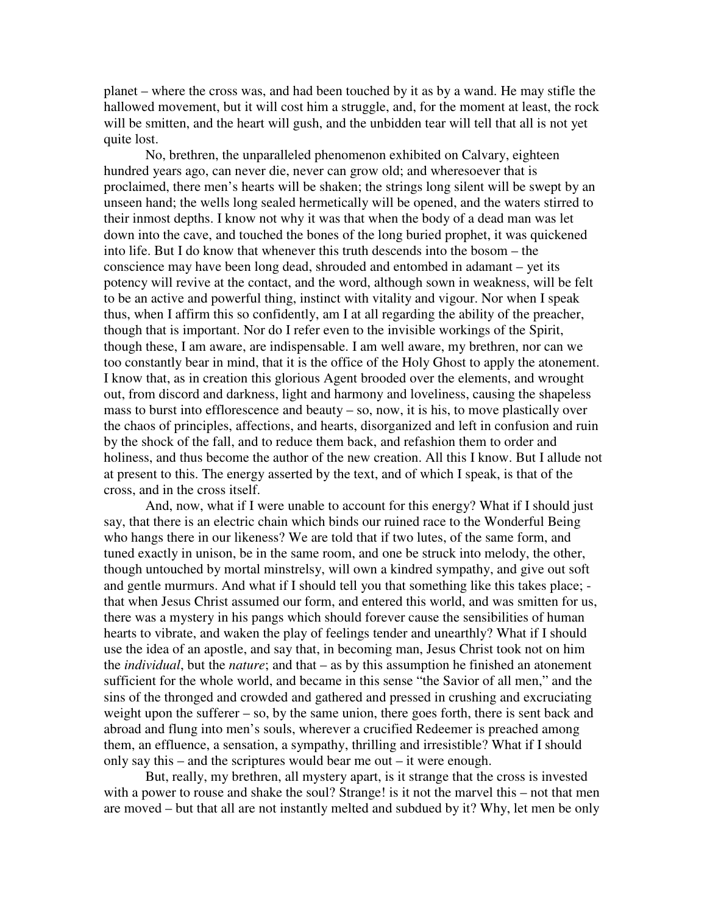planet – where the cross was, and had been touched by it as by a wand. He may stifle the hallowed movement, but it will cost him a struggle, and, for the moment at least, the rock will be smitten, and the heart will gush, and the unbidden tear will tell that all is not yet quite lost.

No, brethren, the unparalleled phenomenon exhibited on Calvary, eighteen hundred years ago, can never die, never can grow old; and wheresoever that is proclaimed, there men's hearts will be shaken; the strings long silent will be swept by an unseen hand; the wells long sealed hermetically will be opened, and the waters stirred to their inmost depths. I know not why it was that when the body of a dead man was let down into the cave, and touched the bones of the long buried prophet, it was quickened into life. But I do know that whenever this truth descends into the bosom – the conscience may have been long dead, shrouded and entombed in adamant – yet its potency will revive at the contact, and the word, although sown in weakness, will be felt to be an active and powerful thing, instinct with vitality and vigour. Nor when I speak thus, when I affirm this so confidently, am I at all regarding the ability of the preacher, though that is important. Nor do I refer even to the invisible workings of the Spirit, though these, I am aware, are indispensable. I am well aware, my brethren, nor can we too constantly bear in mind, that it is the office of the Holy Ghost to apply the atonement. I know that, as in creation this glorious Agent brooded over the elements, and wrought out, from discord and darkness, light and harmony and loveliness, causing the shapeless mass to burst into efflorescence and beauty – so, now, it is his, to move plastically over the chaos of principles, affections, and hearts, disorganized and left in confusion and ruin by the shock of the fall, and to reduce them back, and refashion them to order and holiness, and thus become the author of the new creation. All this I know. But I allude not at present to this. The energy asserted by the text, and of which I speak, is that of the cross, and in the cross itself.

And, now, what if I were unable to account for this energy? What if I should just say, that there is an electric chain which binds our ruined race to the Wonderful Being who hangs there in our likeness? We are told that if two lutes, of the same form, and tuned exactly in unison, be in the same room, and one be struck into melody, the other, though untouched by mortal minstrelsy, will own a kindred sympathy, and give out soft and gentle murmurs. And what if I should tell you that something like this takes place; that when Jesus Christ assumed our form, and entered this world, and was smitten for us, there was a mystery in his pangs which should forever cause the sensibilities of human hearts to vibrate, and waken the play of feelings tender and unearthly? What if I should use the idea of an apostle, and say that, in becoming man, Jesus Christ took not on him the *individual*, but the *nature*; and that – as by this assumption he finished an atonement sufficient for the whole world, and became in this sense "the Savior of all men," and the sins of the thronged and crowded and gathered and pressed in crushing and excruciating weight upon the sufferer – so, by the same union, there goes forth, there is sent back and abroad and flung into men's souls, wherever a crucified Redeemer is preached among them, an effluence, a sensation, a sympathy, thrilling and irresistible? What if I should only say this – and the scriptures would bear me out – it were enough.

But, really, my brethren, all mystery apart, is it strange that the cross is invested with a power to rouse and shake the soul? Strange! is it not the marvel this – not that men are moved – but that all are not instantly melted and subdued by it? Why, let men be only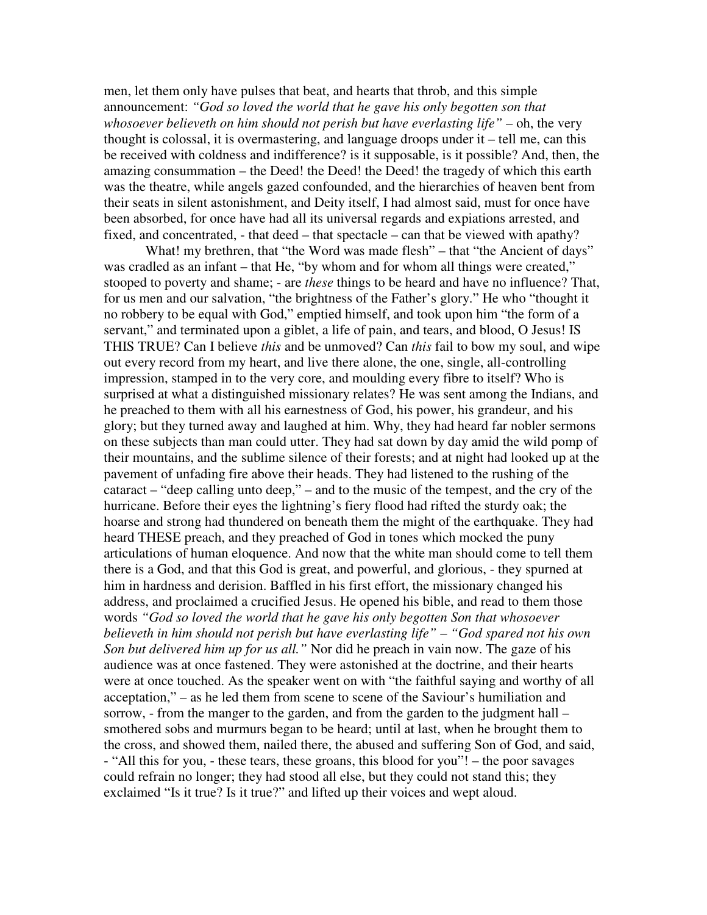men, let them only have pulses that beat, and hearts that throb, and this simple announcement: *"God so loved the world that he gave his only begotten son that whosoever believeth on him should not perish but have everlasting life"* – oh, the very thought is colossal, it is overmastering, and language droops under it – tell me, can this be received with coldness and indifference? is it supposable, is it possible? And, then, the amazing consummation – the Deed! the Deed! the Deed! the tragedy of which this earth was the theatre, while angels gazed confounded, and the hierarchies of heaven bent from their seats in silent astonishment, and Deity itself, I had almost said, must for once have been absorbed, for once have had all its universal regards and expiations arrested, and fixed, and concentrated, - that deed – that spectacle – can that be viewed with apathy?

What! my brethren, that "the Word was made flesh" – that "the Ancient of days" was cradled as an infant – that He, "by whom and for whom all things were created," stooped to poverty and shame; - are *these* things to be heard and have no influence? That, for us men and our salvation, "the brightness of the Father's glory." He who "thought it no robbery to be equal with God," emptied himself, and took upon him "the form of a servant," and terminated upon a giblet, a life of pain, and tears, and blood, O Jesus! IS THIS TRUE? Can I believe *this* and be unmoved? Can *this* fail to bow my soul, and wipe out every record from my heart, and live there alone, the one, single, all-controlling impression, stamped in to the very core, and moulding every fibre to itself? Who is surprised at what a distinguished missionary relates? He was sent among the Indians, and he preached to them with all his earnestness of God, his power, his grandeur, and his glory; but they turned away and laughed at him. Why, they had heard far nobler sermons on these subjects than man could utter. They had sat down by day amid the wild pomp of their mountains, and the sublime silence of their forests; and at night had looked up at the pavement of unfading fire above their heads. They had listened to the rushing of the cataract – "deep calling unto deep," – and to the music of the tempest, and the cry of the hurricane. Before their eyes the lightning's fiery flood had rifted the sturdy oak; the hoarse and strong had thundered on beneath them the might of the earthquake. They had heard THESE preach, and they preached of God in tones which mocked the puny articulations of human eloquence. And now that the white man should come to tell them there is a God, and that this God is great, and powerful, and glorious, - they spurned at him in hardness and derision. Baffled in his first effort, the missionary changed his address, and proclaimed a crucified Jesus. He opened his bible, and read to them those words *"God so loved the world that he gave his only begotten Son that whosoever believeth in him should not perish but have everlasting life"* – *"God spared not his own Son but delivered him up for us all."* Nor did he preach in vain now. The gaze of his audience was at once fastened. They were astonished at the doctrine, and their hearts were at once touched. As the speaker went on with "the faithful saying and worthy of all acceptation," – as he led them from scene to scene of the Saviour's humiliation and sorrow, - from the manger to the garden, and from the garden to the judgment hall – smothered sobs and murmurs began to be heard; until at last, when he brought them to the cross, and showed them, nailed there, the abused and suffering Son of God, and said, - "All this for you, - these tears, these groans, this blood for you"! – the poor savages could refrain no longer; they had stood all else, but they could not stand this; they exclaimed "Is it true? Is it true?" and lifted up their voices and wept aloud.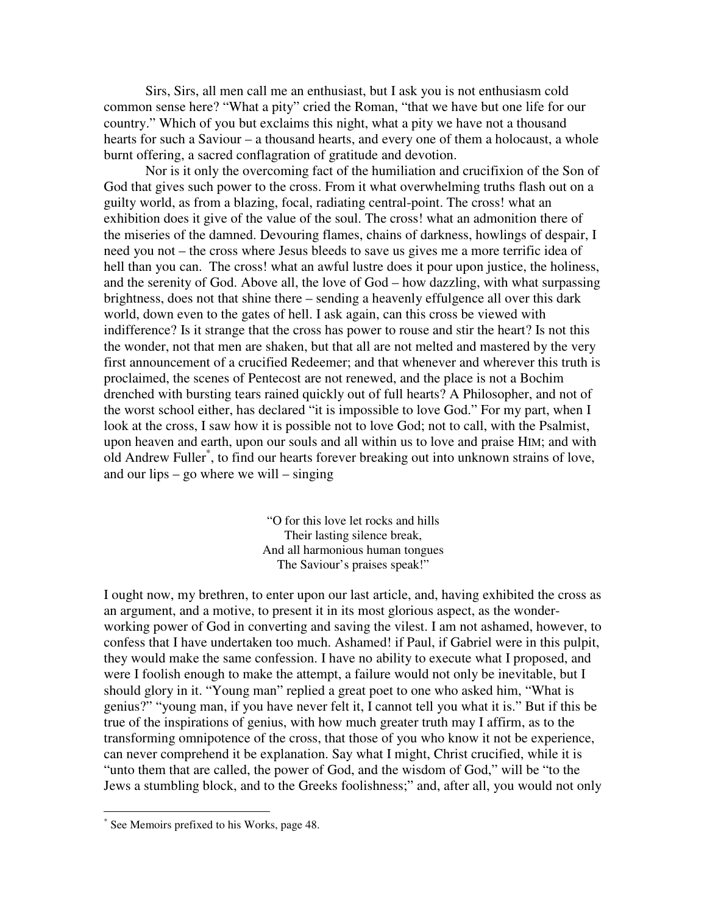Sirs, Sirs, all men call me an enthusiast, but I ask you is not enthusiasm cold common sense here? "What a pity" cried the Roman, "that we have but one life for our country." Which of you but exclaims this night, what a pity we have not a thousand hearts for such a Saviour – a thousand hearts, and every one of them a holocaust, a whole burnt offering, a sacred conflagration of gratitude and devotion.

Nor is it only the overcoming fact of the humiliation and crucifixion of the Son of God that gives such power to the cross. From it what overwhelming truths flash out on a guilty world, as from a blazing, focal, radiating central-point. The cross! what an exhibition does it give of the value of the soul. The cross! what an admonition there of the miseries of the damned. Devouring flames, chains of darkness, howlings of despair, I need you not – the cross where Jesus bleeds to save us gives me a more terrific idea of hell than you can. The cross! what an awful lustre does it pour upon justice, the holiness, and the serenity of God. Above all, the love of God – how dazzling, with what surpassing brightness, does not that shine there – sending a heavenly effulgence all over this dark world, down even to the gates of hell. I ask again, can this cross be viewed with indifference? Is it strange that the cross has power to rouse and stir the heart? Is not this the wonder, not that men are shaken, but that all are not melted and mastered by the very first announcement of a crucified Redeemer; and that whenever and wherever this truth is proclaimed, the scenes of Pentecost are not renewed, and the place is not a Bochim drenched with bursting tears rained quickly out of full hearts? A Philosopher, and not of the worst school either, has declared "it is impossible to love God." For my part, when I look at the cross, I saw how it is possible not to love God; not to call, with the Psalmist, upon heaven and earth, upon our souls and all within us to love and praise HIM; and with old Andrew Fuller \* , to find our hearts forever breaking out into unknown strains of love, and our lips – go where we will – singing

> "O for this love let rocks and hills Their lasting silence break, And all harmonious human tongues The Saviour's praises speak!"

I ought now, my brethren, to enter upon our last article, and, having exhibited the cross as an argument, and a motive, to present it in its most glorious aspect, as the wonderworking power of God in converting and saving the vilest. I am not ashamed, however, to confess that I have undertaken too much. Ashamed! if Paul, if Gabriel were in this pulpit, they would make the same confession. I have no ability to execute what I proposed, and were I foolish enough to make the attempt, a failure would not only be inevitable, but I should glory in it. "Young man" replied a great poet to one who asked him, "What is genius?" "young man, if you have never felt it, I cannot tell you what it is." But if this be true of the inspirations of genius, with how much greater truth may I affirm, as to the transforming omnipotence of the cross, that those of you who know it not be experience, can never comprehend it be explanation. Say what I might, Christ crucified, while it is "unto them that are called, the power of God, and the wisdom of God," will be "to the Jews a stumbling block, and to the Greeks foolishness;" and, after all, you would not only

<sup>\*</sup> See Memoirs prefixed to his Works, page 48.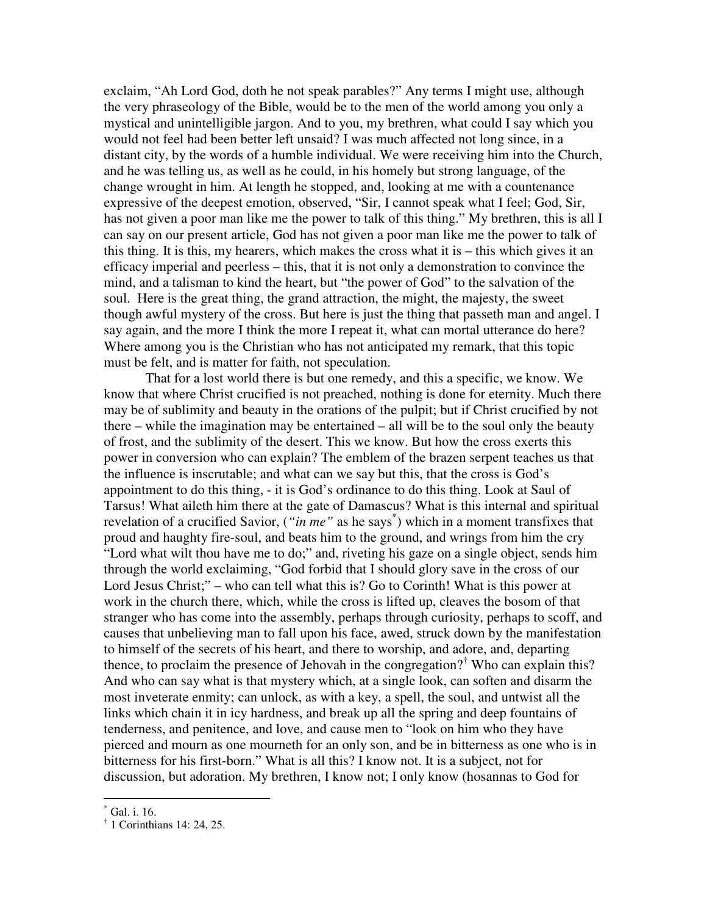exclaim, "Ah Lord God, doth he not speak parables?" Any terms I might use, although the very phraseology of the Bible, would be to the men of the world among you only a mystical and unintelligible jargon. And to you, my brethren, what could I say which you would not feel had been better left unsaid? I was much affected not long since, in a distant city, by the words of a humble individual. We were receiving him into the Church, and he was telling us, as well as he could, in his homely but strong language, of the change wrought in him. At length he stopped, and, looking at me with a countenance expressive of the deepest emotion, observed, "Sir, I cannot speak what I feel; God, Sir, has not given a poor man like me the power to talk of this thing." My brethren, this is all I can say on our present article, God has not given a poor man like me the power to talk of this thing. It is this, my hearers, which makes the cross what it is – this which gives it an efficacy imperial and peerless – this, that it is not only a demonstration to convince the mind, and a talisman to kind the heart, but "the power of God" to the salvation of the soul. Here is the great thing, the grand attraction, the might, the majesty, the sweet though awful mystery of the cross. But here is just the thing that passeth man and angel. I say again, and the more I think the more I repeat it, what can mortal utterance do here? Where among you is the Christian who has not anticipated my remark, that this topic must be felt, and is matter for faith, not speculation.

That for a lost world there is but one remedy, and this a specific, we know. We know that where Christ crucified is not preached, nothing is done for eternity. Much there may be of sublimity and beauty in the orations of the pulpit; but if Christ crucified by not there – while the imagination may be entertained – all will be to the soul only the beauty of frost, and the sublimity of the desert. This we know. But how the cross exerts this power in conversion who can explain? The emblem of the brazen serpent teaches us that the influence is inscrutable; and what can we say but this, that the cross is God's appointment to do this thing, - it is God's ordinance to do this thing. Look at Saul of Tarsus! What aileth him there at the gate of Damascus? What is this internal and spiritual revelation of a crucified Savior, ("in me" as he says<sup>\*</sup>) which in a moment transfixes that proud and haughty fire-soul, and beats him to the ground, and wrings from him the cry "Lord what wilt thou have me to do;" and, riveting his gaze on a single object, sends him through the world exclaiming, "God forbid that I should glory save in the cross of our Lord Jesus Christ;" – who can tell what this is? Go to Corinth! What is this power at work in the church there, which, while the cross is lifted up, cleaves the bosom of that stranger who has come into the assembly, perhaps through curiosity, perhaps to scoff, and causes that unbelieving man to fall upon his face, awed, struck down by the manifestation to himself of the secrets of his heart, and there to worship, and adore, and, departing thence, to proclaim the presence of Jehovah in the congregation? † Who can explain this? And who can say what is that mystery which, at a single look, can soften and disarm the most inveterate enmity; can unlock, as with a key, a spell, the soul, and untwist all the links which chain it in icy hardness, and break up all the spring and deep fountains of tenderness, and penitence, and love, and cause men to "look on him who they have pierced and mourn as one mourneth for an only son, and be in bitterness as one who is in bitterness for his first-born." What is all this? I know not. It is a subject, not for discussion, but adoration. My brethren, I know not; I only know (hosannas to God for

<sup>\*</sup> Gal. i. 16.

<sup>†</sup> 1 Corinthians 14: 24, 25.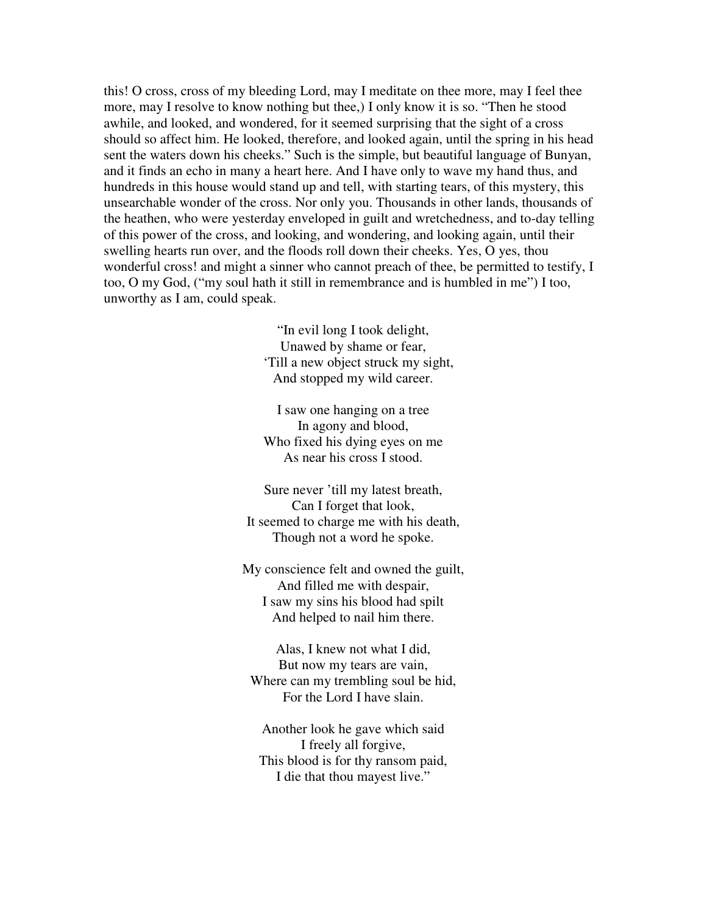this! O cross, cross of my bleeding Lord, may I meditate on thee more, may I feel thee more, may I resolve to know nothing but thee,) I only know it is so. "Then he stood awhile, and looked, and wondered, for it seemed surprising that the sight of a cross should so affect him. He looked, therefore, and looked again, until the spring in his head sent the waters down his cheeks." Such is the simple, but beautiful language of Bunyan, and it finds an echo in many a heart here. And I have only to wave my hand thus, and hundreds in this house would stand up and tell, with starting tears, of this mystery, this unsearchable wonder of the cross. Nor only you. Thousands in other lands, thousands of the heathen, who were yesterday enveloped in guilt and wretchedness, and to-day telling of this power of the cross, and looking, and wondering, and looking again, until their swelling hearts run over, and the floods roll down their cheeks. Yes, O yes, thou wonderful cross! and might a sinner who cannot preach of thee, be permitted to testify, I too, O my God, ("my soul hath it still in remembrance and is humbled in me") I too, unworthy as I am, could speak.

> "In evil long I took delight, Unawed by shame or fear, 'Till a new object struck my sight, And stopped my wild career.

I saw one hanging on a tree In agony and blood, Who fixed his dying eyes on me As near his cross I stood.

Sure never 'till my latest breath, Can I forget that look, It seemed to charge me with his death, Though not a word he spoke.

My conscience felt and owned the guilt, And filled me with despair, I saw my sins his blood had spilt And helped to nail him there.

Alas, I knew not what I did, But now my tears are vain, Where can my trembling soul be hid, For the Lord I have slain.

Another look he gave which said I freely all forgive, This blood is for thy ransom paid, I die that thou mayest live."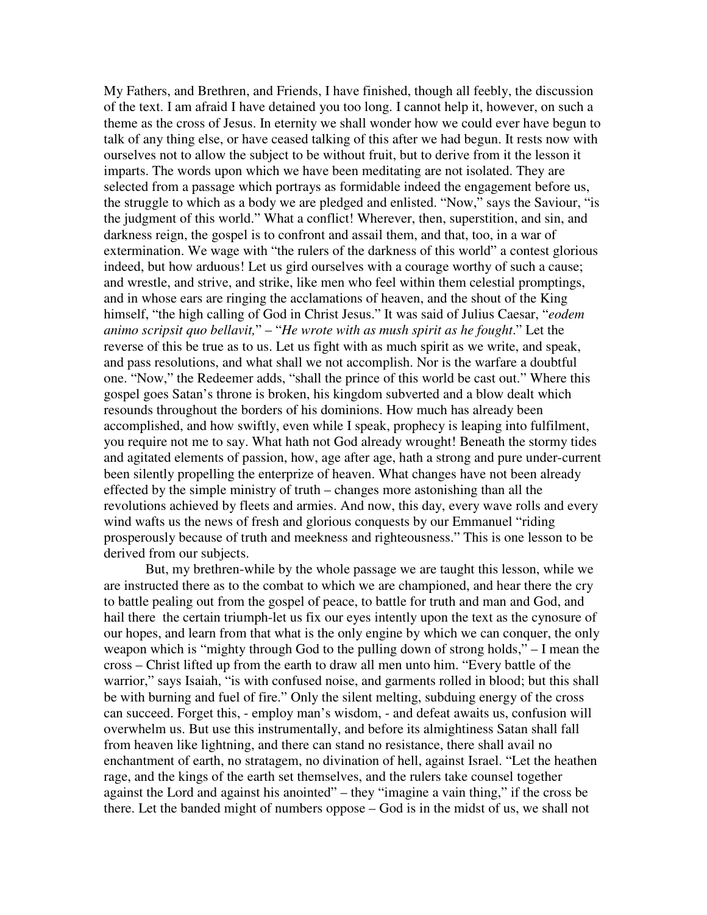My Fathers, and Brethren, and Friends, I have finished, though all feebly, the discussion of the text. I am afraid I have detained you too long. I cannot help it, however, on such a theme as the cross of Jesus. In eternity we shall wonder how we could ever have begun to talk of any thing else, or have ceased talking of this after we had begun. It rests now with ourselves not to allow the subject to be without fruit, but to derive from it the lesson it imparts. The words upon which we have been meditating are not isolated. They are selected from a passage which portrays as formidable indeed the engagement before us, the struggle to which as a body we are pledged and enlisted. "Now," says the Saviour, "is the judgment of this world." What a conflict! Wherever, then, superstition, and sin, and darkness reign, the gospel is to confront and assail them, and that, too, in a war of extermination. We wage with "the rulers of the darkness of this world" a contest glorious indeed, but how arduous! Let us gird ourselves with a courage worthy of such a cause; and wrestle, and strive, and strike, like men who feel within them celestial promptings, and in whose ears are ringing the acclamations of heaven, and the shout of the King himself, "the high calling of God in Christ Jesus." It was said of Julius Caesar, "*eodem animo scripsit quo bellavit,*" – "*He wrote with as mush spirit as he fought*." Let the reverse of this be true as to us. Let us fight with as much spirit as we write, and speak, and pass resolutions, and what shall we not accomplish. Nor is the warfare a doubtful one. "Now," the Redeemer adds, "shall the prince of this world be cast out." Where this gospel goes Satan's throne is broken, his kingdom subverted and a blow dealt which resounds throughout the borders of his dominions. How much has already been accomplished, and how swiftly, even while I speak, prophecy is leaping into fulfilment, you require not me to say. What hath not God already wrought! Beneath the stormy tides and agitated elements of passion, how, age after age, hath a strong and pure under-current been silently propelling the enterprize of heaven. What changes have not been already effected by the simple ministry of truth – changes more astonishing than all the revolutions achieved by fleets and armies. And now, this day, every wave rolls and every wind wafts us the news of fresh and glorious conquests by our Emmanuel "riding prosperously because of truth and meekness and righteousness." This is one lesson to be derived from our subjects.

But, my brethren-while by the whole passage we are taught this lesson, while we are instructed there as to the combat to which we are championed, and hear there the cry to battle pealing out from the gospel of peace, to battle for truth and man and God, and hail there the certain triumph-let us fix our eyes intently upon the text as the cynosure of our hopes, and learn from that what is the only engine by which we can conquer, the only weapon which is "mighty through God to the pulling down of strong holds," – I mean the cross – Christ lifted up from the earth to draw all men unto him. "Every battle of the warrior," says Isaiah, "is with confused noise, and garments rolled in blood; but this shall be with burning and fuel of fire." Only the silent melting, subduing energy of the cross can succeed. Forget this, - employ man's wisdom, - and defeat awaits us, confusion will overwhelm us. But use this instrumentally, and before its almightiness Satan shall fall from heaven like lightning, and there can stand no resistance, there shall avail no enchantment of earth, no stratagem, no divination of hell, against Israel. "Let the heathen rage, and the kings of the earth set themselves, and the rulers take counsel together against the Lord and against his anointed" – they "imagine a vain thing," if the cross be there. Let the banded might of numbers oppose – God is in the midst of us, we shall not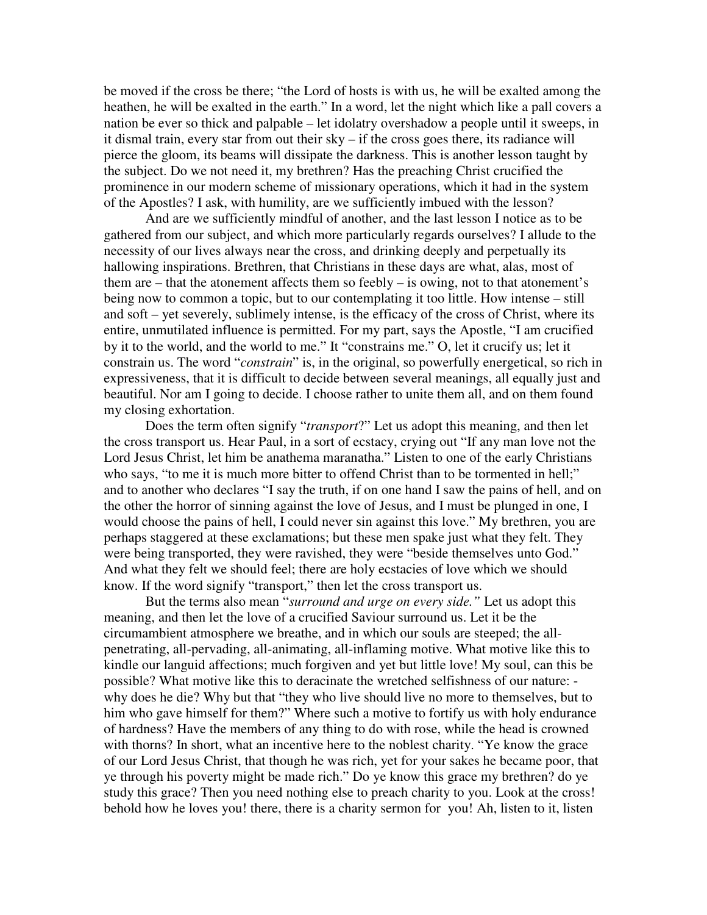be moved if the cross be there; "the Lord of hosts is with us, he will be exalted among the heathen, he will be exalted in the earth." In a word, let the night which like a pall covers a nation be ever so thick and palpable – let idolatry overshadow a people until it sweeps, in it dismal train, every star from out their sky – if the cross goes there, its radiance will pierce the gloom, its beams will dissipate the darkness. This is another lesson taught by the subject. Do we not need it, my brethren? Has the preaching Christ crucified the prominence in our modern scheme of missionary operations, which it had in the system of the Apostles? I ask, with humility, are we sufficiently imbued with the lesson?

And are we sufficiently mindful of another, and the last lesson I notice as to be gathered from our subject, and which more particularly regards ourselves? I allude to the necessity of our lives always near the cross, and drinking deeply and perpetually its hallowing inspirations. Brethren, that Christians in these days are what, alas, most of them are – that the atonement affects them so feebly – is owing, not to that atonement's being now to common a topic, but to our contemplating it too little. How intense – still and soft – yet severely, sublimely intense, is the efficacy of the cross of Christ, where its entire, unmutilated influence is permitted. For my part, says the Apostle, "I am crucified by it to the world, and the world to me." It "constrains me." O, let it crucify us; let it constrain us. The word "*constrain*" is, in the original, so powerfully energetical, so rich in expressiveness, that it is difficult to decide between several meanings, all equally just and beautiful. Nor am I going to decide. I choose rather to unite them all, and on them found my closing exhortation.

Does the term often signify "*transport*?" Let us adopt this meaning, and then let the cross transport us. Hear Paul, in a sort of ecstacy, crying out "If any man love not the Lord Jesus Christ, let him be anathema maranatha." Listen to one of the early Christians who says, "to me it is much more bitter to offend Christ than to be tormented in hell;" and to another who declares "I say the truth, if on one hand I saw the pains of hell, and on the other the horror of sinning against the love of Jesus, and I must be plunged in one, I would choose the pains of hell, I could never sin against this love." My brethren, you are perhaps staggered at these exclamations; but these men spake just what they felt. They were being transported, they were ravished, they were "beside themselves unto God." And what they felt we should feel; there are holy ecstacies of love which we should know. If the word signify "transport," then let the cross transport us.

But the terms also mean "*surround and urge on every side."* Let us adopt this meaning, and then let the love of a crucified Saviour surround us. Let it be the circumambient atmosphere we breathe, and in which our souls are steeped; the allpenetrating, all-pervading, all-animating, all-inflaming motive. What motive like this to kindle our languid affections; much forgiven and yet but little love! My soul, can this be possible? What motive like this to deracinate the wretched selfishness of our nature: why does he die? Why but that "they who live should live no more to themselves, but to him who gave himself for them?" Where such a motive to fortify us with holy endurance of hardness? Have the members of any thing to do with rose, while the head is crowned with thorns? In short, what an incentive here to the noblest charity. "Ye know the grace of our Lord Jesus Christ, that though he was rich, yet for your sakes he became poor, that ye through his poverty might be made rich." Do ye know this grace my brethren? do ye study this grace? Then you need nothing else to preach charity to you. Look at the cross! behold how he loves you! there, there is a charity sermon for you! Ah, listen to it, listen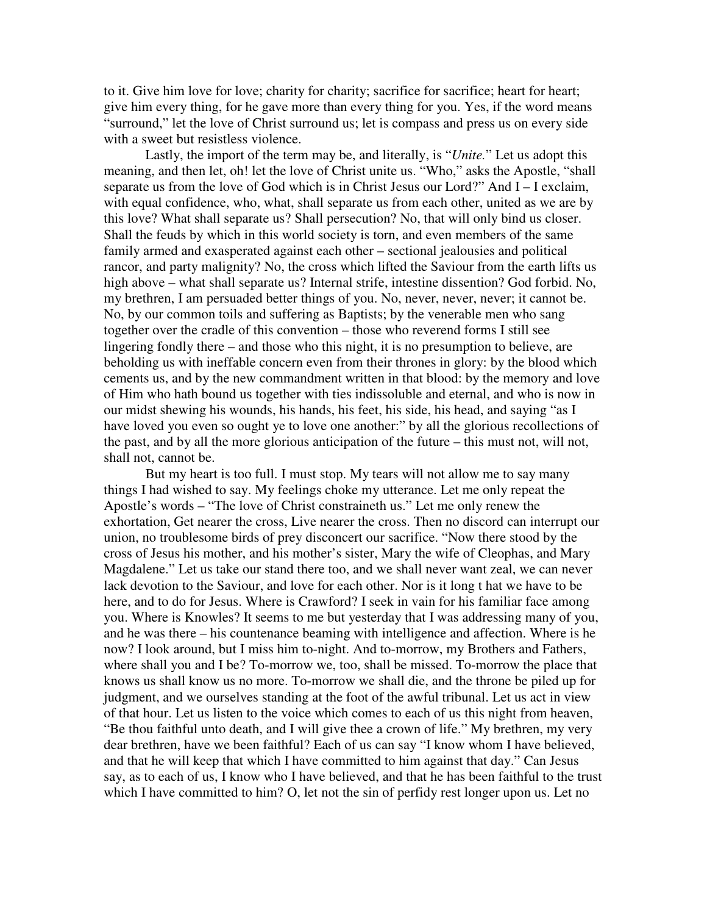to it. Give him love for love; charity for charity; sacrifice for sacrifice; heart for heart; give him every thing, for he gave more than every thing for you. Yes, if the word means "surround," let the love of Christ surround us; let is compass and press us on every side with a sweet but resistless violence.

Lastly, the import of the term may be, and literally, is "*Unite.*" Let us adopt this meaning, and then let, oh! let the love of Christ unite us. "Who," asks the Apostle, "shall separate us from the love of God which is in Christ Jesus our Lord?" And I – I exclaim, with equal confidence, who, what, shall separate us from each other, united as we are by this love? What shall separate us? Shall persecution? No, that will only bind us closer. Shall the feuds by which in this world society is torn, and even members of the same family armed and exasperated against each other – sectional jealousies and political rancor, and party malignity? No, the cross which lifted the Saviour from the earth lifts us high above – what shall separate us? Internal strife, intestine dissention? God forbid. No, my brethren, I am persuaded better things of you. No, never, never, never; it cannot be. No, by our common toils and suffering as Baptists; by the venerable men who sang together over the cradle of this convention – those who reverend forms I still see lingering fondly there – and those who this night, it is no presumption to believe, are beholding us with ineffable concern even from their thrones in glory: by the blood which cements us, and by the new commandment written in that blood: by the memory and love of Him who hath bound us together with ties indissoluble and eternal, and who is now in our midst shewing his wounds, his hands, his feet, his side, his head, and saying "as I have loved you even so ought ye to love one another:" by all the glorious recollections of the past, and by all the more glorious anticipation of the future – this must not, will not, shall not, cannot be.

But my heart is too full. I must stop. My tears will not allow me to say many things I had wished to say. My feelings choke my utterance. Let me only repeat the Apostle's words – "The love of Christ constraineth us." Let me only renew the exhortation, Get nearer the cross, Live nearer the cross. Then no discord can interrupt our union, no troublesome birds of prey disconcert our sacrifice. "Now there stood by the cross of Jesus his mother, and his mother's sister, Mary the wife of Cleophas, and Mary Magdalene." Let us take our stand there too, and we shall never want zeal, we can never lack devotion to the Saviour, and love for each other. Nor is it long t hat we have to be here, and to do for Jesus. Where is Crawford? I seek in vain for his familiar face among you. Where is Knowles? It seems to me but yesterday that I was addressing many of you, and he was there – his countenance beaming with intelligence and affection. Where is he now? I look around, but I miss him to-night. And to-morrow, my Brothers and Fathers, where shall you and I be? To-morrow we, too, shall be missed. To-morrow the place that knows us shall know us no more. To-morrow we shall die, and the throne be piled up for judgment, and we ourselves standing at the foot of the awful tribunal. Let us act in view of that hour. Let us listen to the voice which comes to each of us this night from heaven, "Be thou faithful unto death, and I will give thee a crown of life." My brethren, my very dear brethren, have we been faithful? Each of us can say "I know whom I have believed, and that he will keep that which I have committed to him against that day." Can Jesus say, as to each of us, I know who I have believed, and that he has been faithful to the trust which I have committed to him? O, let not the sin of perfidy rest longer upon us. Let no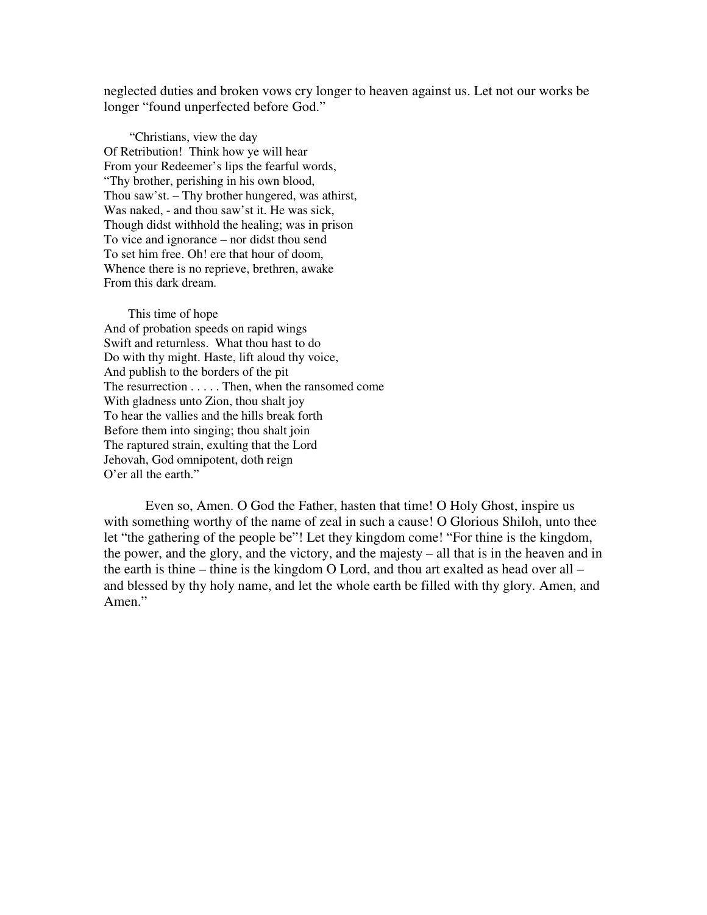neglected duties and broken vows cry longer to heaven against us. Let not our works be longer "found unperfected before God."

"Christians, view the day Of Retribution! Think how ye will hear From your Redeemer's lips the fearful words, "Thy brother, perishing in his own blood, Thou saw'st. – Thy brother hungered, was athirst, Was naked, - and thou saw'st it. He was sick, Though didst withhold the healing; was in prison To vice and ignorance – nor didst thou send To set him free. Oh! ere that hour of doom, Whence there is no reprieve, brethren, awake From this dark dream.

This time of hope And of probation speeds on rapid wings Swift and returnless. What thou hast to do Do with thy might. Haste, lift aloud thy voice, And publish to the borders of the pit The resurrection . . . . . Then, when the ransomed come With gladness unto Zion, thou shalt joy To hear the vallies and the hills break forth Before them into singing; thou shalt join The raptured strain, exulting that the Lord Jehovah, God omnipotent, doth reign O'er all the earth."

Even so, Amen. O God the Father, hasten that time! O Holy Ghost, inspire us with something worthy of the name of zeal in such a cause! O Glorious Shiloh, unto thee let "the gathering of the people be"! Let they kingdom come! "For thine is the kingdom, the power, and the glory, and the victory, and the majesty – all that is in the heaven and in the earth is thine – thine is the kingdom O Lord, and thou art exalted as head over all – and blessed by thy holy name, and let the whole earth be filled with thy glory. Amen, and Amen."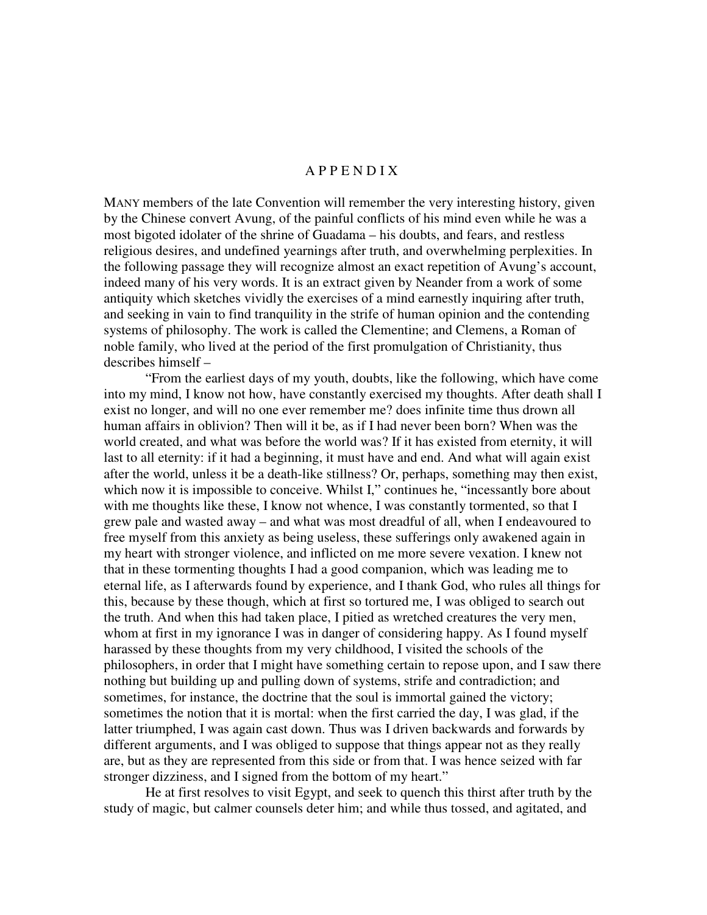#### A P P E N D I X

MANY members of the late Convention will remember the very interesting history, given by the Chinese convert Avung, of the painful conflicts of his mind even while he was a most bigoted idolater of the shrine of Guadama – his doubts, and fears, and restless religious desires, and undefined yearnings after truth, and overwhelming perplexities. In the following passage they will recognize almost an exact repetition of Avung's account, indeed many of his very words. It is an extract given by Neander from a work of some antiquity which sketches vividly the exercises of a mind earnestly inquiring after truth, and seeking in vain to find tranquility in the strife of human opinion and the contending systems of philosophy. The work is called the Clementine; and Clemens, a Roman of noble family, who lived at the period of the first promulgation of Christianity, thus describes himself –

"From the earliest days of my youth, doubts, like the following, which have come into my mind, I know not how, have constantly exercised my thoughts. After death shall I exist no longer, and will no one ever remember me? does infinite time thus drown all human affairs in oblivion? Then will it be, as if I had never been born? When was the world created, and what was before the world was? If it has existed from eternity, it will last to all eternity: if it had a beginning, it must have and end. And what will again exist after the world, unless it be a death-like stillness? Or, perhaps, something may then exist, which now it is impossible to conceive. Whilst I," continues he, "incessantly bore about with me thoughts like these, I know not whence, I was constantly tormented, so that I grew pale and wasted away – and what was most dreadful of all, when I endeavoured to free myself from this anxiety as being useless, these sufferings only awakened again in my heart with stronger violence, and inflicted on me more severe vexation. I knew not that in these tormenting thoughts I had a good companion, which was leading me to eternal life, as I afterwards found by experience, and I thank God, who rules all things for this, because by these though, which at first so tortured me, I was obliged to search out the truth. And when this had taken place, I pitied as wretched creatures the very men, whom at first in my ignorance I was in danger of considering happy. As I found myself harassed by these thoughts from my very childhood, I visited the schools of the philosophers, in order that I might have something certain to repose upon, and I saw there nothing but building up and pulling down of systems, strife and contradiction; and sometimes, for instance, the doctrine that the soul is immortal gained the victory; sometimes the notion that it is mortal: when the first carried the day, I was glad, if the latter triumphed, I was again cast down. Thus was I driven backwards and forwards by different arguments, and I was obliged to suppose that things appear not as they really are, but as they are represented from this side or from that. I was hence seized with far stronger dizziness, and I signed from the bottom of my heart."

He at first resolves to visit Egypt, and seek to quench this thirst after truth by the study of magic, but calmer counsels deter him; and while thus tossed, and agitated, and